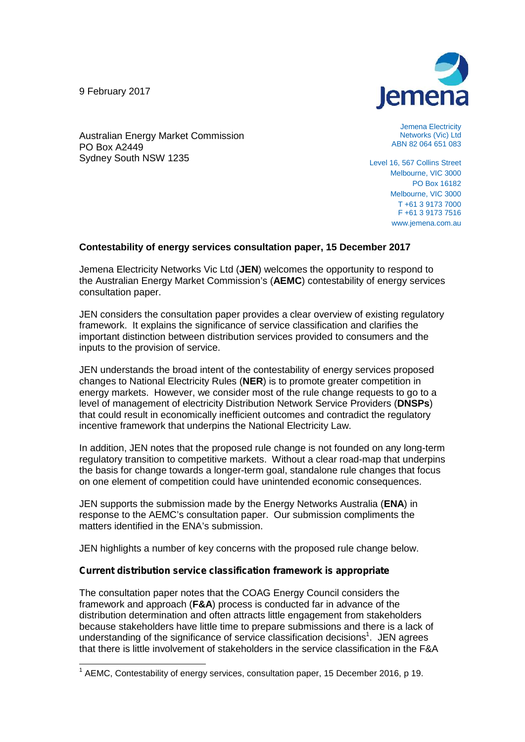9 February 2017

PO Box A2449

Sydney South NSW 1235

Australian Energy Market Commission



Jemena Electricity Networks (Vic) Ltd ABN 82 064 651 083

Level 16, 567 Collins Street Melbourne, VIC 3000 PO Box 16182 Melbourne, VIC 3000 T +61 3 9173 7000 F +61 3 9173 7516 www.jemena.com.au

# **Contestability of energy services consultation paper, 15 December 2017**

Jemena Electricity Networks Vic Ltd (**JEN**) welcomes the opportunity to respond to the Australian Energy Market Commission's (**AEMC**) contestability of energy services consultation paper.

JEN considers the consultation paper provides a clear overview of existing regulatory framework. It explains the significance of service classification and clarifies the important distinction between distribution services provided to consumers and the inputs to the provision of service.

JEN understands the broad intent of the contestability of energy services proposed changes to National Electricity Rules (**NER**) is to promote greater competition in energy markets. However, we consider most of the rule change requests to go to a level of management of electricity Distribution Network Service Providers (**DNSPs**) that could result in economically inefficient outcomes and contradict the regulatory incentive framework that underpins the National Electricity Law.

In addition, JEN notes that the proposed rule change is not founded on any long-term regulatory transition to competitive markets. Without a clear road-map that underpins the basis for change towards a longer-term goal, standalone rule changes that focus on one element of competition could have unintended economic consequences.

JEN supports the submission made by the Energy Networks Australia (**ENA**) in response to the AEMC's consultation paper. Our submission compliments the matters identified in the ENA's submission.

JEN highlights a number of key concerns with the proposed rule change below.

# *Current distribution service classification framework is appropriate*

The consultation paper notes that the COAG Energy Council considers the framework and approach (**F&A**) process is conducted far in advance of the distribution determination and often attracts little engagement from stakeholders because stakeholders have little time to prepare submissions and there is a lack of understanding of the significance of service classification decisions<sup>1</sup>. JEN agrees that there is little involvement of stakeholders in the service classification in the F&A

 $1$  AEMC, Contestability of energy services, consultation paper, 15 December 2016, p 19.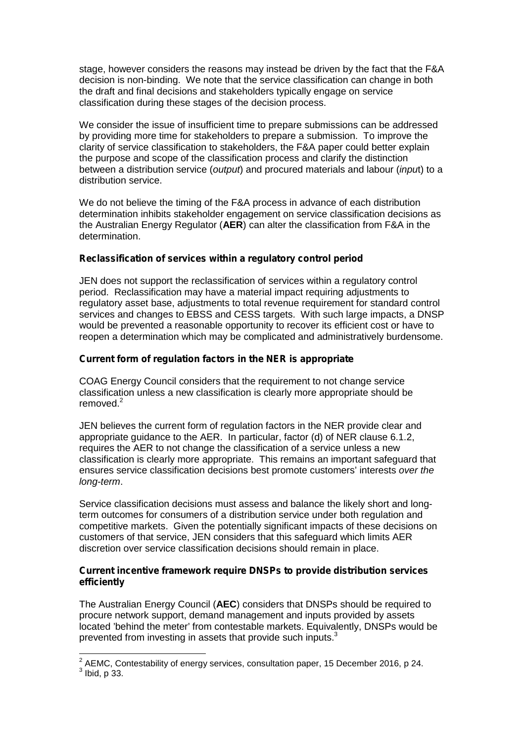stage, however considers the reasons may instead be driven by the fact that the F&A decision is non-binding. We note that the service classification can change in both the draft and final decisions and stakeholders typically engage on service classification during these stages of the decision process.

We consider the issue of insufficient time to prepare submissions can be addressed by providing more time for stakeholders to prepare a submission. To improve the clarity of service classification to stakeholders, the F&A paper could better explain the purpose and scope of the classification process and clarify the distinction between a distribution service (*output*) and procured materials and labour (*inpu*t) to a distribution service.

We do not believe the timing of the F&A process in advance of each distribution determination inhibits stakeholder engagement on service classification decisions as the Australian Energy Regulator (**AER**) can alter the classification from F&A in the determination.

# *Reclassification of services within a regulatory control period*

JEN does not support the reclassification of services within a regulatory control period. Reclassification may have a material impact requiring adjustments to regulatory asset base, adjustments to total revenue requirement for standard control services and changes to EBSS and CESS targets. With such large impacts, a DNSP would be prevented a reasonable opportunity to recover its efficient cost or have to reopen a determination which may be complicated and administratively burdensome.

# *Current form of regulation factors in the NER is appropriate*

COAG Energy Council considers that the requirement to not change service classification unless a new classification is clearly more appropriate should be removed.<sup>2</sup>

JEN believes the current form of regulation factors in the NER provide clear and appropriate guidance to the AER. In particular, factor (d) of NER clause 6.1.2, requires the AER to not change the classification of a service unless a new classification is clearly more appropriate. This remains an important safeguard that ensures service classification decisions best promote customers' interests *over the long-term*.

Service classification decisions must assess and balance the likely short and longterm outcomes for consumers of a distribution service under both regulation and competitive markets. Given the potentially significant impacts of these decisions on customers of that service, JEN considers that this safeguard which limits AER discretion over service classification decisions should remain in place.

# *Current incentive framework require DNSPs to provide distribution services efficiently*

The Australian Energy Council (**AEC**) considers that DNSPs should be required to procure network support, demand management and inputs provided by assets located 'behind the meter' from contestable markets. Equivalently, DNSPs would be prevented from investing in assets that provide such inputs.<sup>3</sup>

 $2$  AEMC, Contestability of energy services, consultation paper, 15 December 2016, p 24.  $3$  Ibid, p 33.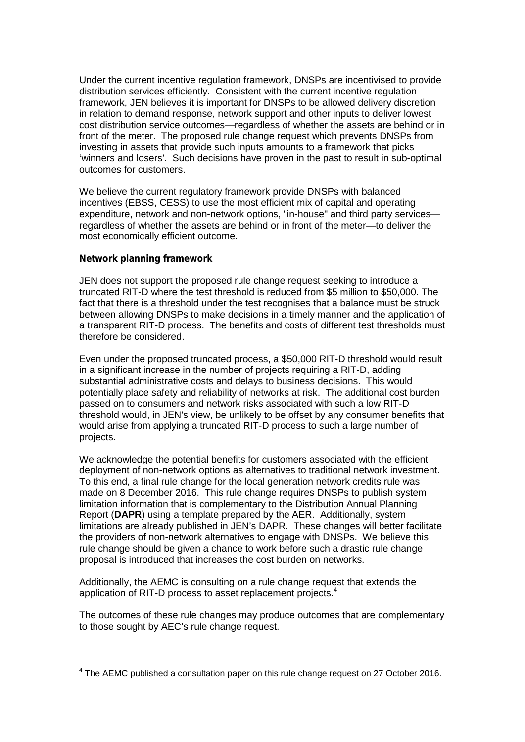Under the current incentive regulation framework, DNSPs are incentivised to provide distribution services efficiently. Consistent with the current incentive regulation framework, JEN believes it is important for DNSPs to be allowed delivery discretion in relation to demand response, network support and other inputs to deliver lowest cost distribution service outcomes—regardless of whether the assets are behind or in front of the meter. The proposed rule change request which prevents DNSPs from investing in assets that provide such inputs amounts to a framework that picks 'winners and losers'. Such decisions have proven in the past to result in sub-optimal outcomes for customers.

We believe the current regulatory framework provide DNSPs with balanced incentives (EBSS, CESS) to use the most efficient mix of capital and operating expenditure, network and non-network options, "in-house" and third party services regardless of whether the assets are behind or in front of the meter—to deliver the most economically efficient outcome.

# *Network planning framework*

JEN does not support the proposed rule change request seeking to introduce a truncated RIT-D where the test threshold is reduced from \$5 million to \$50,000. The fact that there is a threshold under the test recognises that a balance must be struck between allowing DNSPs to make decisions in a timely manner and the application of a transparent RIT-D process. The benefits and costs of different test thresholds must therefore be considered.

Even under the proposed truncated process, a \$50,000 RIT-D threshold would result in a significant increase in the number of projects requiring a RIT-D, adding substantial administrative costs and delays to business decisions. This would potentially place safety and reliability of networks at risk. The additional cost burden passed on to consumers and network risks associated with such a low RIT-D threshold would, in JEN's view, be unlikely to be offset by any consumer benefits that would arise from applying a truncated RIT-D process to such a large number of projects.

We acknowledge the potential benefits for customers associated with the efficient deployment of non-network options as alternatives to traditional network investment. To this end, a final rule change for the local generation network credits rule was made on 8 December 2016. This rule change requires DNSPs to publish system limitation information that is complementary to the Distribution Annual Planning Report (**DAPR**) using a template prepared by the AER. Additionally, system limitations are already published in JEN's DAPR. These changes will better facilitate the providers of non-network alternatives to engage with DNSPs. We believe this rule change should be given a chance to work before such a drastic rule change proposal is introduced that increases the cost burden on networks.

Additionally, the AEMC is consulting on a rule change request that extends the application of RIT-D process to asset replacement projects.<sup>4</sup>

The outcomes of these rule changes may produce outcomes that are complementary to those sought by AEC's rule change request.

<sup>4</sup> The AEMC published a consultation paper on this rule change request on 27 October 2016.